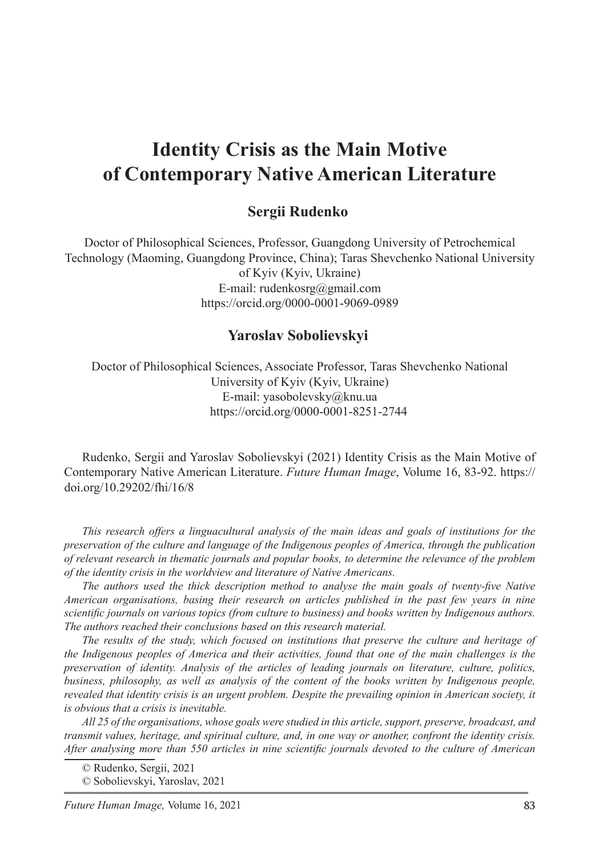# **Identity Crisis as the Main Motive of Contemporary Native American Literature**

#### **Sergii Rudenko**

Doctor of Philosophical Sciences, Professor, Guangdong University of Petrochemical Technology (Maoming, Guangdong Province, China); Taras Shevchenko National University of Kyiv (Kyiv, Ukraine) E-mail: rudenkosrg@gmail.com https://orcid.org/0000-0001-9069-0989

#### **Yaroslav Sobolievskyi**<sup>2</sup>

Doctor of Philosophical Sciences, Associate Professor, Taras Shevchenko National University of Kyiv (Kyiv, Ukraine) E-mail: yasobolevsky@knu.ua https://orcid.org/0000-0001-8251-2744

Rudenko, Sergii and Yaroslav Sobolievskyi (2021) Identity Crisis as the Main Motive of Contemporary Native American Literature. *Future Human Image*, Volume 16, 83-92. https:// doi.org/10.29202/fhi/16/8

*This research offers a linguacultural analysis of the main ideas and goals of institutions for the preservation of the culture and language of the Indigenous peoples of America, through the publication of relevant research in thematic journals and popular books, to determine the relevance of the problem of the identity crisis in the worldview and literature of Native Americans.*

*The authors used the thick description method to analyse the main goals of twenty-five Native American organisations, basing their research on articles published in the past few years in nine scientific journals on various topics (from culture to business) and books written by Indigenous authors. The authors reached their conclusions based on this research material.*

*The results of the study, which focused on institutions that preserve the culture and heritage of the Indigenous peoples of America and their activities, found that one of the main challenges is the preservation of identity. Analysis of the articles of leading journals on literature, culture, politics, business, philosophy, as well as analysis of the content of the books written by Indigenous people, revealed that identity crisis is an urgent problem. Despite the prevailing opinion in American society, it is obvious that a crisis is inevitable.*

*All 25 of the organisations, whose goals were studied in this article, support, preserve, broadcast, and transmit values, heritage, and spiritual culture, and, in one way or another, confront the identity crisis. After analysing more than 550 articles in nine scientific journals devoted to the culture of American* 

<sup>©</sup> Rudenko, Sergii, 2021

<sup>©</sup> Sobolievskyi, Yaroslav, 2021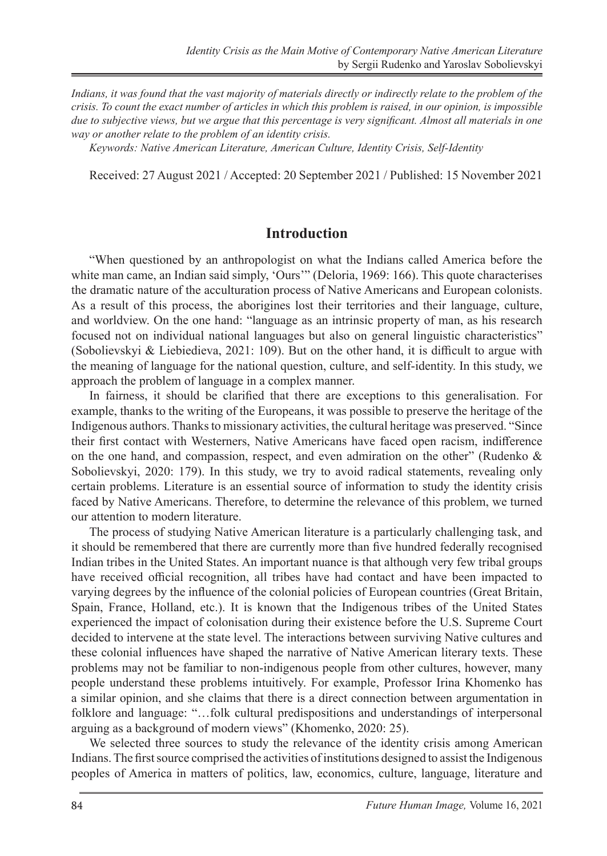*Indians, it was found that the vast majority of materials directly or indirectly relate to the problem of the crisis. To count the exact number of articles in which this problem is raised, in our opinion, is impossible due to subjective views, but we argue that this percentage is very significant. Almost all materials in one way or another relate to the problem of an identity crisis.*

*Keywords: Native American Literature, American Culture, Identity Crisis, Self-Identity*

Received: 27 August 2021 / Accepted: 20 September 2021 / Published: 15 November 2021

#### **Introduction**

"When questioned by an anthropologist on what the Indians called America before the white man came, an Indian said simply, 'Ours'" (Deloria, 1969: 166). This quote characterises the dramatic nature of the acculturation process of Native Americans and European colonists. As a result of this process, the aborigines lost their territories and their language, culture, and worldview. On the one hand: "language as an intrinsic property of man, as his research focused not on individual national languages but also on general linguistic characteristics" (Sobolievskyi & Liebiedieva, 2021: 109). But on the other hand, it is difficult to argue with the meaning of language for the national question, culture, and self-identity. In this study, we approach the problem of language in a complex manner.

In fairness, it should be clarified that there are exceptions to this generalisation. For example, thanks to the writing of the Europeans, it was possible to preserve the heritage of the Indigenous authors. Thanks to missionary activities, the cultural heritage was preserved. "Since their first contact with Westerners, Native Americans have faced open racism, indifference on the one hand, and compassion, respect, and even admiration on the other" (Rudenko & Sobolievskyi, 2020: 179). In this study, we try to avoid radical statements, revealing only certain problems. Literature is an essential source of information to study the identity crisis faced by Native Americans. Therefore, to determine the relevance of this problem, we turned our attention to modern literature.

The process of studying Native American literature is a particularly challenging task, and it should be remembered that there are currently more than five hundred federally recognised Indian tribes in the United States. An important nuance is that although very few tribal groups have received official recognition, all tribes have had contact and have been impacted to varying degrees by the influence of the colonial policies of European countries (Great Britain, Spain, France, Holland, etc.). It is known that the Indigenous tribes of the United States experienced the impact of colonisation during their existence before the U.S. Supreme Court decided to intervene at the state level. The interactions between surviving Native cultures and these colonial influences have shaped the narrative of Native American literary texts. These problems may not be familiar to non-indigenous people from other cultures, however, many people understand these problems intuitively. For example, Professor Irina Khomenko has a similar opinion, and she claims that there is a direct connection between argumentation in folklore and language: "…folk cultural predispositions and understandings of interpersonal arguing as a background of modern views" (Khomenko, 2020: 25).

We selected three sources to study the relevance of the identity crisis among American Indians. The first source comprised the activities of institutions designed to assist the Indigenous peoples of America in matters of politics, law, economics, culture, language, literature and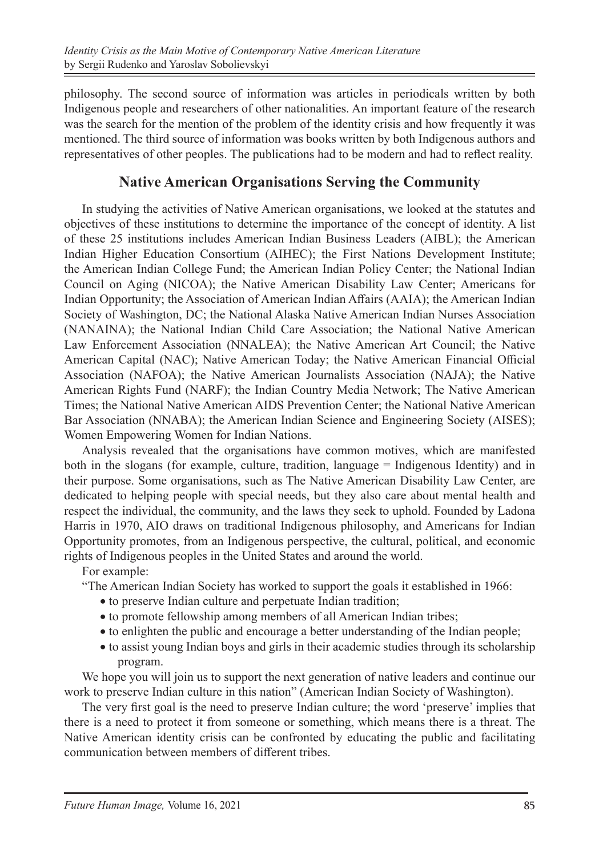philosophy. The second source of information was articles in periodicals written by both Indigenous people and researchers of other nationalities. An important feature of the research was the search for the mention of the problem of the identity crisis and how frequently it was mentioned. The third source of information was books written by both Indigenous authors and representatives of other peoples. The publications had to be modern and had to reflect reality.

#### **Native American Organisations Serving the Community**

In studying the activities of Native American organisations, we looked at the statutes and objectives of these institutions to determine the importance of the concept of identity. A list of these 25 institutions includes American Indian Business Leaders (AIBL); the American Indian Higher Education Consortium (AIHEC); the First Nations Development Institute; the American Indian College Fund; the American Indian Policy Center; the National Indian Council on Aging (NICOA); the Native American Disability Law Center; Americans for Indian Opportunity; the Association of American Indian Affairs (AAIA); the American Indian Society of Washington, DC; the National Alaska Native American Indian Nurses Association (NANAINA); the National Indian Child Care Association; the National Native American Law Enforcement Association (NNALEA); the Native American Art Council; the Native American Capital (NAC); Native American Today; the Native American Financial Official Association (NAFOA); the Native American Journalists Association (NAJA); the Native American Rights Fund (NARF); the Indian Country Media Network; The Native American Times; the National Native American AIDS Prevention Center; the National Native American Bar Association (NNABA); the American Indian Science and Engineering Society (AISES); Women Empowering Women for Indian Nations.

Analysis revealed that the organisations have common motives, which are manifested both in the slogans (for example, culture, tradition, language = Indigenous Identity) and in their purpose. Some organisations, such as The Native American Disability Law Center, are dedicated to helping people with special needs, but they also care about mental health and respect the individual, the community, and the laws they seek to uphold. Founded by Ladona Harris in 1970, AIO draws on traditional Indigenous philosophy, and Americans for Indian Opportunity promotes, from an Indigenous perspective, the cultural, political, and economic rights of Indigenous peoples in the United States and around the world.

For example:

"The American Indian Society has worked to support the goals it established in 1966:

- to preserve Indian culture and perpetuate Indian tradition;
- to promote fellowship among members of all American Indian tribes;
- to enlighten the public and encourage a better understanding of the Indian people;
- to assist young Indian boys and girls in their academic studies through its scholarship program.

We hope you will join us to support the next generation of native leaders and continue our work to preserve Indian culture in this nation" (American Indian Society of Washington).

The very first goal is the need to preserve Indian culture; the word 'preserve' implies that there is a need to protect it from someone or something, which means there is a threat. The Native American identity crisis can be confronted by educating the public and facilitating communication between members of different tribes.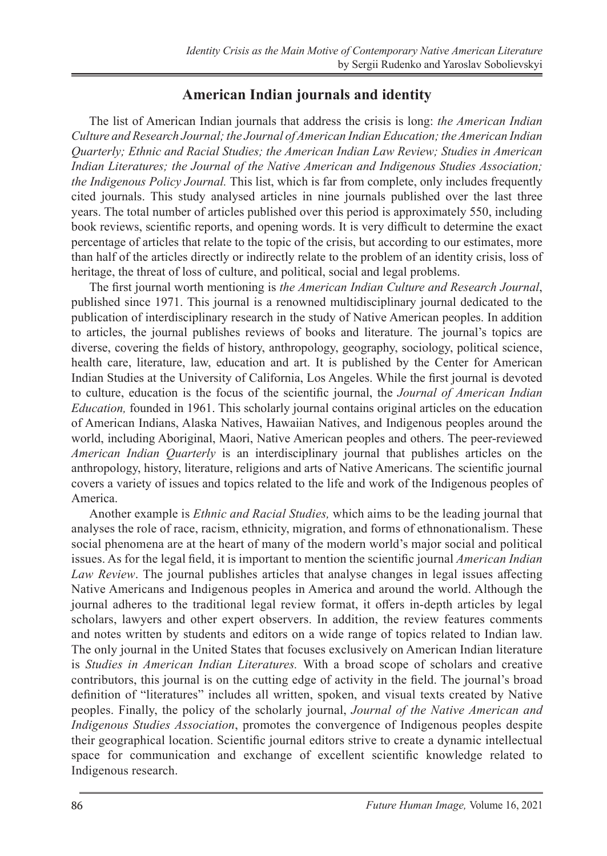## **American Indian journals and identity**

The list of American Indian journals that address the crisis is long: *the American Indian Culture and Research Journal; the Journal of American Indian Education; the American Indian Quarterly; Ethnic and Racial Studies; the American Indian Law Review; Studies in American Indian Literatures; the Journal of the Native American and Indigenous Studies Association; the Indigenous Policy Journal.* This list, which is far from complete, only includes frequently cited journals. This study analysed articles in nine journals published over the last three years. The total number of articles published over this period is approximately 550, including book reviews, scientific reports, and opening words. It is very difficult to determine the exact percentage of articles that relate to the topic of the crisis, but according to our estimates, more than half of the articles directly or indirectly relate to the problem of an identity crisis, loss of heritage, the threat of loss of culture, and political, social and legal problems.

The first journal worth mentioning is *the American Indian Culture and Research Journal*, published since 1971. This journal is a renowned multidisciplinary journal dedicated to the publication of interdisciplinary research in the study of Native American peoples. In addition to articles, the journal publishes reviews of books and literature. The journal's topics are diverse, covering the fields of history, anthropology, geography, sociology, political science, health care, literature, law, education and art. It is published by the Center for American Indian Studies at the University of California, Los Angeles. While the first journal is devoted to culture, education is the focus of the scientific journal, the *Journal of American Indian Education,* founded in 1961. This scholarly journal contains original articles on the education of American Indians, Alaska Natives, Hawaiian Natives, and Indigenous peoples around the world, including Aboriginal, Maori, Native American peoples and others. The peer-reviewed *American Indian Quarterly* is an interdisciplinary journal that publishes articles on the anthropology, history, literature, religions and arts of Native Americans. The scientific journal covers a variety of issues and topics related to the life and work of the Indigenous peoples of America.

Another example is *Ethnic and Racial Studies,* which aims to be the leading journal that analyses the role of race, racism, ethnicity, migration, and forms of ethnonationalism. These social phenomena are at the heart of many of the modern world's major social and political issues. As for the legal field, it is important to mention the scientific journal *American Indian Law Review*. The journal publishes articles that analyse changes in legal issues affecting Native Americans and Indigenous peoples in America and around the world. Although the journal adheres to the traditional legal review format, it offers in-depth articles by legal scholars, lawyers and other expert observers. In addition, the review features comments and notes written by students and editors on a wide range of topics related to Indian law. The only journal in the United States that focuses exclusively on American Indian literature is *Studies in American Indian Literatures.* With a broad scope of scholars and creative contributors, this journal is on the cutting edge of activity in the field. The journal's broad definition of "literatures" includes all written, spoken, and visual texts created by Native peoples. Finally, the policy of the scholarly journal, *Journal of the Native American and Indigenous Studies Association*, promotes the convergence of Indigenous peoples despite their geographical location. Scientific journal editors strive to create a dynamic intellectual space for communication and exchange of excellent scientific knowledge related to Indigenous research.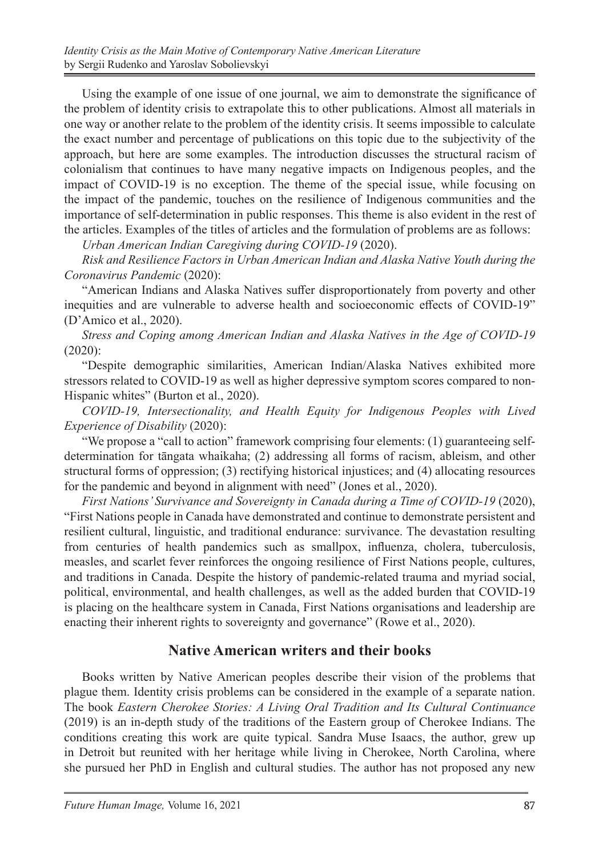Using the example of one issue of one journal, we aim to demonstrate the significance of the problem of identity crisis to extrapolate this to other publications. Almost all materials in one way or another relate to the problem of the identity crisis. It seems impossible to calculate the exact number and percentage of publications on this topic due to the subjectivity of the approach, but here are some examples. The introduction discusses the structural racism of colonialism that continues to have many negative impacts on Indigenous peoples, and the impact of COVID-19 is no exception. The theme of the special issue, while focusing on the impact of the pandemic, touches on the resilience of Indigenous communities and the importance of self-determination in public responses. This theme is also evident in the rest of the articles. Examples of the titles of articles and the formulation of problems are as follows:

*Urban American Indian Caregiving during COVID-19* (2020).

*Risk and Resilience Factors in Urban American Indian and Alaska Native Youth during the Coronavirus Pandemic* (2020):

"American Indians and Alaska Natives suffer disproportionately from poverty and other inequities and are vulnerable to adverse health and socioeconomic effects of COVID-19" (D'Amico et al., 2020).

*Stress and Coping among American Indian and Alaska Natives in the Age of COVID-19*  (2020):

"Despite demographic similarities, American Indian/Alaska Natives exhibited more stressors related to COVID-19 as well as higher depressive symptom scores compared to non-Hispanic whites" (Burton et al., 2020).

*COVID-19, Intersectionality, and Health Equity for Indigenous Peoples with Lived Experience of Disability* (2020):

"We propose a "call to action" framework comprising four elements: (1) guaranteeing selfdetermination for tāngata whaikaha; (2) addressing all forms of racism, ableism, and other structural forms of oppression; (3) rectifying historical injustices; and (4) allocating resources for the pandemic and beyond in alignment with need" (Jones et al., 2020).

*First Nations' Survivance and Sovereignty in Canada during a Time of COVID-19* (2020), "First Nations people in Canada have demonstrated and continue to demonstrate persistent and resilient cultural, linguistic, and traditional endurance: survivance. The devastation resulting from centuries of health pandemics such as smallpox, influenza, cholera, tuberculosis, measles, and scarlet fever reinforces the ongoing resilience of First Nations people, cultures, and traditions in Canada. Despite the history of pandemic-related trauma and myriad social, political, environmental, and health challenges, as well as the added burden that COVID-19 is placing on the healthcare system in Canada, First Nations organisations and leadership are enacting their inherent rights to sovereignty and governance" (Rowe et al., 2020).

## **Native American writers and their books**

Books written by Native American peoples describe their vision of the problems that plague them. Identity crisis problems can be considered in the example of a separate nation. The book *Eastern Cherokee Stories: A Living Oral Tradition and Its Cultural Continuance* (2019) is an in-depth study of the traditions of the Eastern group of Cherokee Indians. The conditions creating this work are quite typical. Sandra Muse Isaacs, the author, grew up in Detroit but reunited with her heritage while living in Cherokee, North Carolina, where she pursued her PhD in English and cultural studies. The author has not proposed any new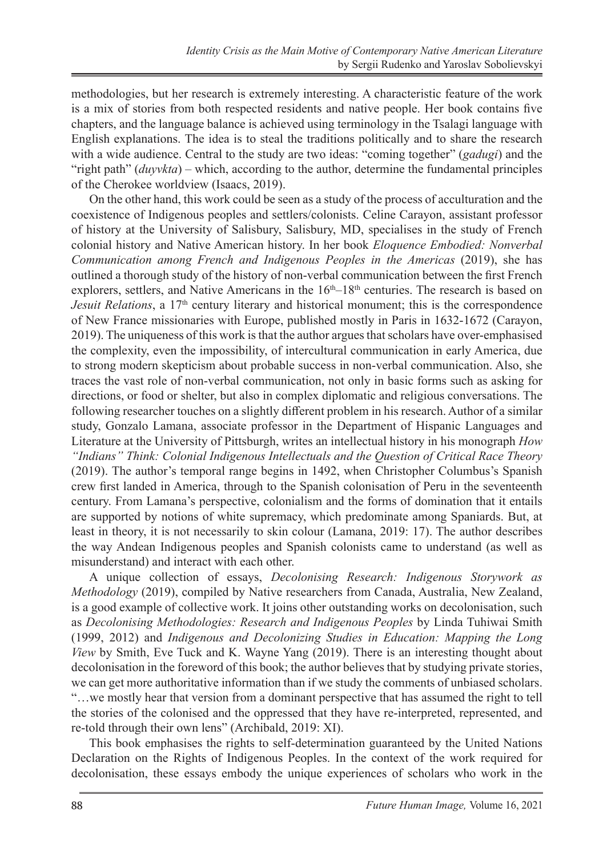methodologies, but her research is extremely interesting. A characteristic feature of the work is a mix of stories from both respected residents and native people. Her book contains five chapters, and the language balance is achieved using terminology in the Tsalagi language with English explanations. The idea is to steal the traditions politically and to share the research with a wide audience. Central to the study are two ideas: "coming together" (*gadugi*) and the "right path" (*duyvkta*) – which, according to the author, determine the fundamental principles of the Cherokee worldview (Isaacs, 2019).

On the other hand, this work could be seen as a study of the process of acculturation and the coexistence of Indigenous peoples and settlers/colonists. Celine Carayon, assistant professor of history at the University of Salisbury, Salisbury, MD, specialises in the study of French colonial history and Native American history. In her book *Eloquence Embodied: Nonverbal Communication among French and Indigenous Peoples in the Americas (2019), she has* outlined a thorough study of the history of non-verbal communication between the first French explorers, settlers, and Native Americans in the  $16<sup>th</sup>-18<sup>th</sup>$  centuries. The research is based on *Jesuit Relations*, a 17<sup>th</sup> century literary and historical monument; this is the correspondence of New France missionaries with Europe, published mostly in Paris in 1632-1672 (Carayon, 2019). The uniqueness of this work is that the author argues that scholars have over-emphasised the complexity, even the impossibility, of intercultural communication in early America, due to strong modern skepticism about probable success in non-verbal communication. Also, she traces the vast role of non-verbal communication, not only in basic forms such as asking for directions, or food or shelter, but also in complex diplomatic and religious conversations. The following researcher touches on a slightly different problem in his research. Author of a similar study, Gonzalo Lamana, associate professor in the Department of Hispanic Languages and Literature at the University of Pittsburgh, writes an intellectual history in his monograph *How "Indians" Think: Colonial Indigenous Intellectuals and the Question of Critical Race Theory*  (2019). The author's temporal range begins in 1492, when Christopher Columbus's Spanish crew first landed in America, through to the Spanish colonisation of Peru in the seventeenth century. From Lamana's perspective, colonialism and the forms of domination that it entails are supported by notions of white supremacy, which predominate among Spaniards. But, at least in theory, it is not necessarily to skin colour (Lamana, 2019: 17). The author describes the way Andean Indigenous peoples and Spanish colonists came to understand (as well as misunderstand) and interact with each other.

A unique collection of essays, *Decolonising Research: Indigenous Storywork as Methodology* (2019), compiled by Native researchers from Canada, Australia, New Zealand, is a good example of collective work. It joins other outstanding works on decolonisation, such as *Decolonising Methodologies: Research and Indigenous Peoples* by Linda Tuhiwai Smith (1999, 2012) and *Indigenous and Decolonizing Studies in Education: Mapping the Long View* by Smith, Eve Tuck and K. Wayne Yang (2019). There is an interesting thought about decolonisation in the foreword of this book; the author believes that by studying private stories, we can get more authoritative information than if we study the comments of unbiased scholars. "…we mostly hear that version from a dominant perspective that has assumed the right to tell the stories of the colonised and the oppressed that they have re-interpreted, represented, and re-told through their own lens" (Archibald, 2019: XI).

This book emphasises the rights to self-determination guaranteed by the United Nations Declaration on the Rights of Indigenous Peoples. In the context of the work required for decolonisation, these essays embody the unique experiences of scholars who work in the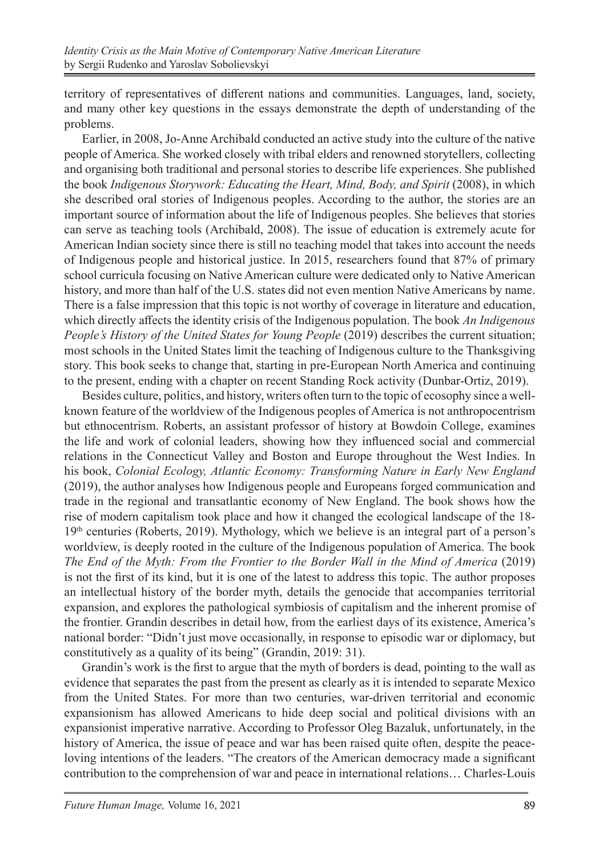territory of representatives of different nations and communities. Languages, land, society, and many other key questions in the essays demonstrate the depth of understanding of the problems.

Earlier, in 2008, Jo-Anne Archibald conducted an active study into the culture of the native people of America. She worked closely with tribal elders and renowned storytellers, collecting and organising both traditional and personal stories to describe life experiences. She published the book *Indigenous Storywork: Educating the Heart, Mind, Body, and Spirit* (2008), in which she described oral stories of Indigenous peoples. According to the author, the stories are an important source of information about the life of Indigenous peoples. She believes that stories can serve as teaching tools (Archibald, 2008). The issue of education is extremely acute for American Indian society since there is still no teaching model that takes into account the needs of Indigenous people and historical justice. In 2015, researchers found that 87% of primary school curricula focusing on Native American culture were dedicated only to Native American history, and more than half of the U.S. states did not even mention Native Americans by name. There is a false impression that this topic is not worthy of coverage in literature and education, which directly affects the identity crisis of the Indigenous population. The book *An Indigenous People's History of the United States for Young People* (2019) describes the current situation; most schools in the United States limit the teaching of Indigenous culture to the Thanksgiving story. This book seeks to change that, starting in pre-European North America and continuing to the present, ending with a chapter on recent Standing Rock activity (Dunbar-Ortiz, 2019).

Besides culture, politics, and history, writers often turn to the topic of ecosophy since a wellknown feature of the worldview of the Indigenous peoples of America is not anthropocentrism but ethnocentrism. Roberts, an assistant professor of history at Bowdoin College, examines the life and work of colonial leaders, showing how they influenced social and commercial relations in the Connecticut Valley and Boston and Europe throughout the West Indies. In his book, *Colonial Ecology, Atlantic Economy: Transforming Nature in Early New England* (2019), the author analyses how Indigenous people and Europeans forged communication and trade in the regional and transatlantic economy of New England. The book shows how the rise of modern capitalism took place and how it changed the ecological landscape of the 18-  $19<sup>th</sup>$  centuries (Roberts, 2019). Mythology, which we believe is an integral part of a person's worldview, is deeply rooted in the culture of the Indigenous population of America. The book *The End of the Myth: From the Frontier to the Border Wall in the Mind of America* (2019) is not the first of its kind, but it is one of the latest to address this topic. The author proposes an intellectual history of the border myth, details the genocide that accompanies territorial expansion, and explores the pathological symbiosis of capitalism and the inherent promise of the frontier. Grandin describes in detail how, from the earliest days of its existence, America's national border: "Didn't just move occasionally, in response to episodic war or diplomacy, but constitutively as a quality of its being" (Grandin, 2019: 31).

Grandin's work is the first to argue that the myth of borders is dead, pointing to the wall as evidence that separates the past from the present as clearly as it is intended to separate Mexico from the United States. For more than two centuries, war-driven territorial and economic expansionism has allowed Americans to hide deep social and political divisions with an expansionist imperative narrative. According to Professor Oleg Bazaluk, unfortunately, in the history of America, the issue of peace and war has been raised quite often, despite the peaceloving intentions of the leaders. "The creators of the American democracy made a significant contribution to the comprehension of war and peace in international relations… Charles-Louis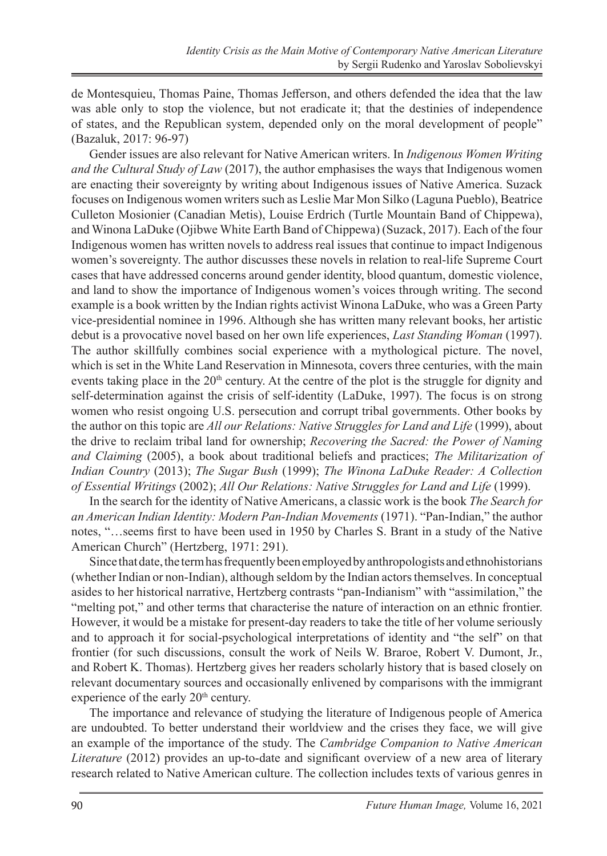de Montesquieu, Thomas Paine, Thomas Jefferson, and others defended the idea that the law was able only to stop the violence, but not eradicate it; that the destinies of independence of states, and the Republican system, depended only on the moral development of people" (Bazaluk, 2017: 96-97)

Gender issues are also relevant for Native American writers. In *Indigenous Women Writing and the Cultural Study of Law* (2017), the author emphasises the ways that Indigenous women are enacting their sovereignty by writing about Indigenous issues of Native America. Suzack focuses on Indigenous women writers such as Leslie Mar Mon Silko (Laguna Pueblo), Beatrice Culleton Mosionier (Canadian Metis), Louise Erdrich (Turtle Mountain Band of Chippewa), and Winona LaDuke (Ojibwe White Earth Band of Chippewa) (Suzack, 2017). Each of the four Indigenous women has written novels to address real issues that continue to impact Indigenous women's sovereignty. The author discusses these novels in relation to real-life Supreme Court cases that have addressed concerns around gender identity, blood quantum, domestic violence, and land to show the importance of Indigenous women's voices through writing. The second example is a book written by the Indian rights activist Winona LaDuke, who was a Green Party vice-presidential nominee in 1996. Although she has written many relevant books, her artistic debut is a provocative novel based on her own life experiences, *Last Standing Woman* (1997). The author skillfully combines social experience with a mythological picture. The novel, which is set in the White Land Reservation in Minnesota, covers three centuries, with the main events taking place in the  $20<sup>th</sup>$  century. At the centre of the plot is the struggle for dignity and self-determination against the crisis of self-identity (LaDuke, 1997). The focus is on strong women who resist ongoing U.S. persecution and corrupt tribal governments. Other books by the author on this topic are *All our Relations: Native Struggles for Land and Life* (1999), about the drive to reclaim tribal land for ownership; *Recovering the Sacred: the Power of Naming and Claiming* (2005), a book about traditional beliefs and practices; *The Militarization of Indian Country* (2013); *The Sugar Bush* (1999); *The Winona LaDuke Reader: A Collection of Essential Writings* (2002); *All Our Relations: Native Struggles for Land and Life* (1999).

In the search for the identity of Native Americans, a classic work is the book *The Search for an American Indian Identity: Modern Pan-Indian Movements* (1971). "Pan-Indian," the author notes, "…seems first to have been used in 1950 by Charles S. Brant in a study of the Native American Church" (Hertzberg, 1971: 291).

Since that date, the term has frequently been employed by anthropologists and ethnohistorians (whether Indian or non-Indian), although seldom by the Indian actors themselves. In conceptual asides to her historical narrative, Hertzberg contrasts "pan-Indianism" with "assimilation," the "melting pot," and other terms that characterise the nature of interaction on an ethnic frontier. However, it would be a mistake for present-day readers to take the title of her volume seriously and to approach it for social-psychological interpretations of identity and "the self" on that frontier (for such discussions, consult the work of Neils W. Braroe, Robert V. Dumont, Jr., and Robert K. Thomas). Hertzberg gives her readers scholarly history that is based closely on relevant documentary sources and occasionally enlivened by comparisons with the immigrant experience of the early 20<sup>th</sup> century.

The importance and relevance of studying the literature of Indigenous people of America are undoubted. To better understand their worldview and the crises they face, we will give an example of the importance of the study. The *Cambridge Companion to Native American Literature* (2012) provides an up-to-date and significant overview of a new area of literary research related to Native American culture. The collection includes texts of various genres in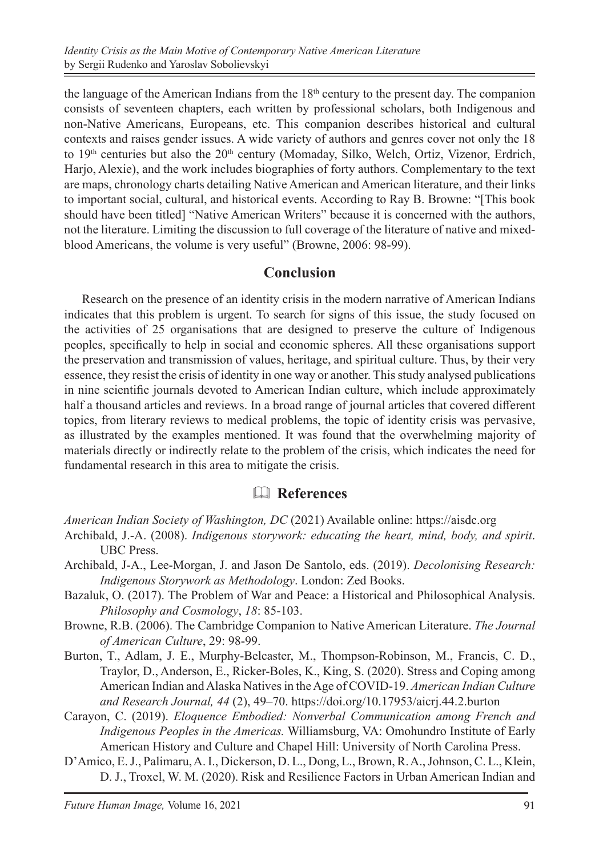the language of the American Indians from the  $18<sup>th</sup>$  century to the present day. The companion consists of seventeen chapters, each written by professional scholars, both Indigenous and non-Native Americans, Europeans, etc. This companion describes historical and cultural contexts and raises gender issues. A wide variety of authors and genres cover not only the 18 to 19<sup>th</sup> centuries but also the 20<sup>th</sup> century (Momaday, Silko, Welch, Ortiz, Vizenor, Erdrich, Harjo, Alexie), and the work includes biographies of forty authors. Complementary to the text are maps, chronology charts detailing Native American and American literature, and their links to important social, cultural, and historical events. According to Ray B. Browne: "[This book should have been titled] "Native American Writers" because it is concerned with the authors, not the literature. Limiting the discussion to full coverage of the literature of native and mixedblood Americans, the volume is very useful" (Browne, 2006: 98-99).

#### **Conclusion**

Research on the presence of an identity crisis in the modern narrative of American Indians indicates that this problem is urgent. To search for signs of this issue, the study focused on the activities of 25 organisations that are designed to preserve the culture of Indigenous peoples, specifically to help in social and economic spheres. All these organisations support the preservation and transmission of values, heritage, and spiritual culture. Thus, by their very essence, they resist the crisis of identity in one way or another. This study analysed publications in nine scientific journals devoted to American Indian culture, which include approximately half a thousand articles and reviews. In a broad range of journal articles that covered different topics, from literary reviews to medical problems, the topic of identity crisis was pervasive, as illustrated by the examples mentioned. It was found that the overwhelming majority of materials directly or indirectly relate to the problem of the crisis, which indicates the need for fundamental research in this area to mitigate the crisis.

## & **References**

*American Indian Society of Washington, DC* (2021) Available online: https://aisdc.org

- Archibald, J.-A. (2008). *Indigenous storywork: educating the heart, mind, body, and spirit*. UBC Press.
- Archibald, J-A., Lee-Morgan, J. and Jason De Santolo, eds. (2019). *Decolonising Research: Indigenous Storywork as Methodology*. London: Zed Books.
- Bazaluk, O. (2017). The Problem of War and Peace: а Historical and Philosophical Analysis. *Philosophy and Cosmology*, *18*: 85-103.
- Browne, R.B. (2006). The Cambridge Companion to Native American Literature. *The Journal of American Culture*, 29: 98-99.
- Burton, T., Adlam, J. E., Murphy-Belcaster, M., Thompson-Robinson, M., Francis, C. D., Traylor, D., Anderson, E., Ricker-Boles, K., King, S. (2020). Stress and Coping among American Indian and Alaska Natives in the Age of COVID-19. *American Indian Culture and Research Journal, 44* (2), 49–70. https://doi.org/10.17953/aicrj.44.2.burton
- Carayon, C. (2019). *Eloquence Embodied: Nonverbal Communication among French and Indigenous Peoples in the Americas.* Williamsburg, VA: Omohundro Institute of Early American History and Culture and Chapel Hill: University of North Carolina Press.
- D'Amico, E. J., Palimaru, A. I., Dickerson, D. L., Dong, L., Brown, R.A., Johnson, C. L., Klein, D. J., Troxel, W. M. (2020). Risk and Resilience Factors in Urban American Indian and